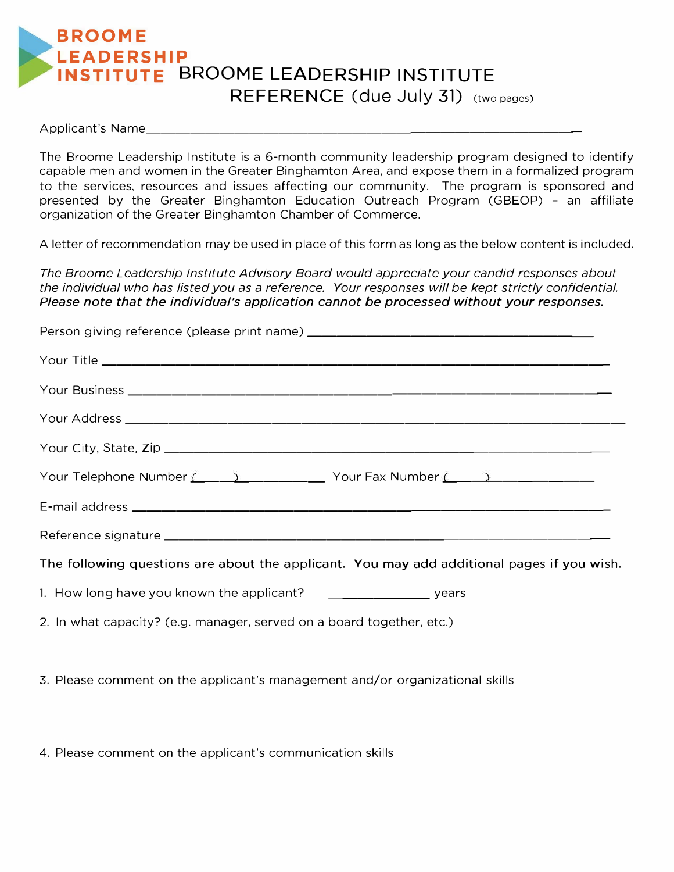## **BROOME LEADERSHIP INSTITUTE BROOME LEADERSHIP INSTITUTE REFERENCE** (due July 31) (two pages)

Applicant's Name\_\_\_\_\_

The Broome Leadership Institute is a 6-month community leadership program designed to identify capable men and women in the Greater Binghamton Area, and expose them in a formalized program to the services, resources and issues affecting our community. The program is sponsored and presented by the Greater Binghamton Education Outreach Program (GBEOP) - an affiliate organization of the Greater Binghamton Chamber of Commerce.

A letter of recommendation may be used in place of this form as long as the below content is included.

*The Broome Leadership Institute Advisory Board would appreciate your candid responses about the individual who has listed you as a reference, Your responses will be kept strictly confidential, Please note that the individual's application cannot be processed without your responses.* 

| Your Business <b>Commission Commission Commission</b> Commission Commission Commission     |
|--------------------------------------------------------------------------------------------|
|                                                                                            |
|                                                                                            |
| Your Telephone Number (1, 2008) 2001 - 2002 Your Fax Number (2, 2008) 2012 2022 2023       |
|                                                                                            |
|                                                                                            |
| The following questions are about the applicant. You may add additional pages if you wish. |

- 1. How long have you known the applicant? \_\_\_\_\_\_\_\_\_\_\_\_\_\_\_\_\_\_\_\_\_ years
- 2. In what capacity? (e.g. manager, served on a board together, etc.)

3. Please comment on the applicant's management and/or organizational skills

4. Please comment on the applicant's communication skills